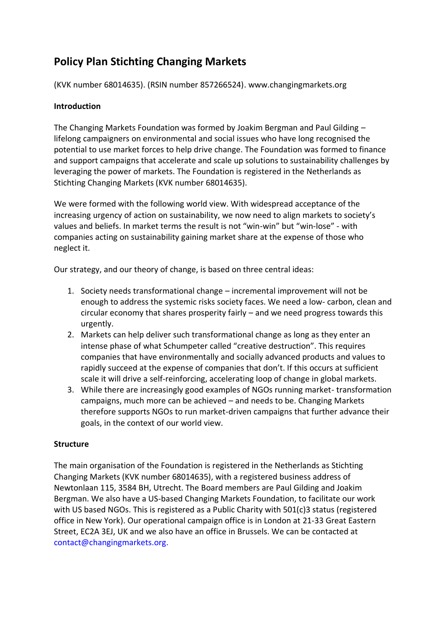# **Policy Plan Stichting Changing Markets**

(KVK number 68014635). (RSIN number 857266524). www.changingmarkets.org

## **Introduction**

The Changing Markets Foundation was formed by Joakim Bergman and Paul Gilding – lifelong campaigners on environmental and social issues who have long recognised the potential to use market forces to help drive change. The Foundation was formed to finance and support campaigns that accelerate and scale up solutions to sustainability challenges by leveraging the power of markets. The Foundation is registered in the Netherlands as Stichting Changing Markets (KVK number 68014635).

We were formed with the following world view. With widespread acceptance of the increasing urgency of action on sustainability, we now need to align markets to society's values and beliefs. In market terms the result is not "win-win" but "win-lose" - with companies acting on sustainability gaining market share at the expense of those who neglect it.

Our strategy, and our theory of change, is based on three central ideas:

- 1. Society needs transformational change incremental improvement will not be enough to address the systemic risks society faces. We need a low- carbon, clean and circular economy that shares prosperity fairly – and we need progress towards this urgently.
- 2. Markets can help deliver such transformational change as long as they enter an intense phase of what Schumpeter called "creative destruction". This requires companies that have environmentally and socially advanced products and values to rapidly succeed at the expense of companies that don't. If this occurs at sufficient scale it will drive a self-reinforcing, accelerating loop of change in global markets.
- 3. While there are increasingly good examples of NGOs running market- transformation campaigns, much more can be achieved – and needs to be. Changing Markets therefore supports NGOs to run market-driven campaigns that further advance their goals, in the context of our world view.

## **Structure**

The main organisation of the Foundation is registered in the Netherlands as Stichting Changing Markets (KVK number 68014635), with a registered business address of Newtonlaan 115, 3584 BH, Utrecht. The Board members are Paul Gilding and Joakim Bergman. We also have a US-based Changing Markets Foundation, to facilitate our work with US based NGOs. This is registered as a Public Charity with 501(c)3 status (registered office in New York). Our operational campaign office is in London at 21-33 Great Eastern Street, EC2A 3EJ, UK and we also have an office in Brussels. We can be contacted at contact@changingmarkets.org.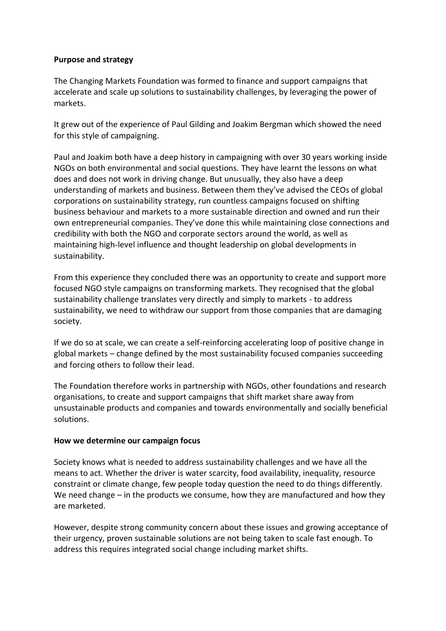### **Purpose and strategy**

The Changing Markets Foundation was formed to finance and support campaigns that accelerate and scale up solutions to sustainability challenges, by leveraging the power of markets.

It grew out of the experience of Paul Gilding and Joakim Bergman which showed the need for this style of campaigning.

Paul and Joakim both have a deep history in campaigning with over 30 years working inside NGOs on both environmental and social questions. They have learnt the lessons on what does and does not work in driving change. But unusually, they also have a deep understanding of markets and business. Between them they've advised the CEOs of global corporations on sustainability strategy, run countless campaigns focused on shifting business behaviour and markets to a more sustainable direction and owned and run their own entrepreneurial companies. They've done this while maintaining close connections and credibility with both the NGO and corporate sectors around the world, as well as maintaining high-level influence and thought leadership on global developments in sustainability.

From this experience they concluded there was an opportunity to create and support more focused NGO style campaigns on transforming markets. They recognised that the global sustainability challenge translates very directly and simply to markets - to address sustainability, we need to withdraw our support from those companies that are damaging society.

If we do so at scale, we can create a self-reinforcing accelerating loop of positive change in global markets – change defined by the most sustainability focused companies succeeding and forcing others to follow their lead.

The Foundation therefore works in partnership with NGOs, other foundations and research organisations, to create and support campaigns that shift market share away from unsustainable products and companies and towards environmentally and socially beneficial solutions.

#### **How we determine our campaign focus**

Society knows what is needed to address sustainability challenges and we have all the means to act. Whether the driver is water scarcity, food availability, inequality, resource constraint or climate change, few people today question the need to do things differently. We need change – in the products we consume, how they are manufactured and how they are marketed.

However, despite strong community concern about these issues and growing acceptance of their urgency, proven sustainable solutions are not being taken to scale fast enough. To address this requires integrated social change including market shifts.